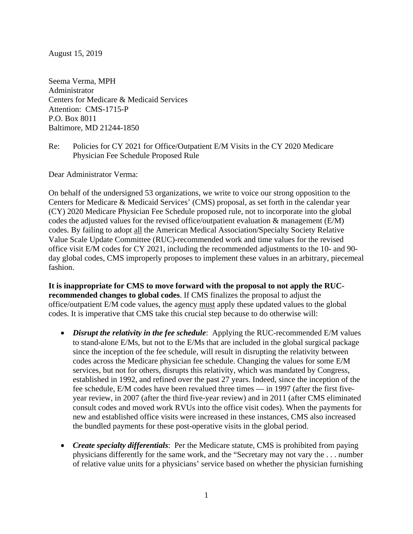August 15, 2019

Seema Verma, MPH Administrator Centers for Medicare & Medicaid Services Attention: CMS-1715-P P.O. Box 8011 Baltimore, MD 21244-1850

Re: Policies for CY 2021 for Office/Outpatient E/M Visits in the CY 2020 Medicare Physician Fee Schedule Proposed Rule

Dear Administrator Verma:

On behalf of the undersigned 53 organizations, we write to voice our strong opposition to the Centers for Medicare & Medicaid Services' (CMS) proposal, as set forth in the calendar year (CY) 2020 Medicare Physician Fee Schedule proposed rule, not to incorporate into the global codes the adjusted values for the revised office/outpatient evaluation & management (E/M) codes. By failing to adopt all the American Medical Association/Specialty Society Relative Value Scale Update Committee (RUC)-recommended work and time values for the revised office visit E/M codes for CY 2021, including the recommended adjustments to the 10- and 90 day global codes, CMS improperly proposes to implement these values in an arbitrary, piecemeal fashion.

**It is inappropriate for CMS to move forward with the proposal to not apply the RUCrecommended changes to global codes**. If CMS finalizes the proposal to adjust the office/outpatient E/M code values, the agency must apply these updated values to the global codes. It is imperative that CMS take this crucial step because to do otherwise will:

- *Disrupt the relativity in the fee schedule*: Applying the RUC-recommended E/M values to stand-alone E/Ms, but not to the E/Ms that are included in the global surgical package since the inception of the fee schedule, will result in disrupting the relativity between codes across the Medicare physician fee schedule. Changing the values for some E/M services, but not for others, disrupts this relativity, which was mandated by Congress, established in 1992, and refined over the past 27 years. Indeed, since the inception of the fee schedule, E/M codes have been revalued three times — in 1997 (after the first fiveyear review, in 2007 (after the third five-year review) and in 2011 (after CMS eliminated consult codes and moved work RVUs into the office visit codes). When the payments for new and established office visits were increased in these instances, CMS also increased the bundled payments for these post-operative visits in the global period.
- *Create specialty differentials*: Per the Medicare statute, CMS is prohibited from paying physicians differently for the same work, and the "Secretary may not vary the . . . number of relative value units for a physicians' service based on whether the physician furnishing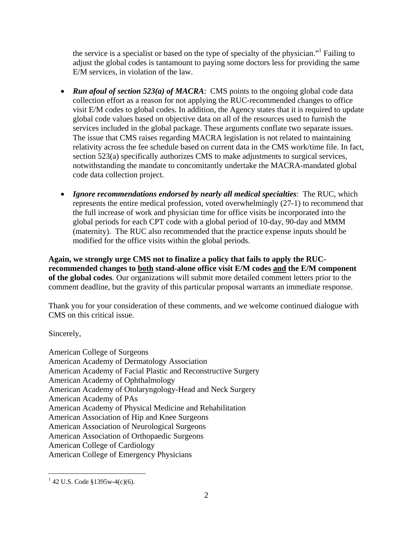the service is a specialist or based on the type of specialty of the physician."<sup>1</sup> Failing to adjust the global codes is tantamount to paying some doctors less for providing the same E/M services, in violation of the law.

- **Run afoul of section 523(a) of MACRA**: CMS points to the ongoing global code data collection effort as a reason for not applying the RUC-recommended changes to office visit E/M codes to global codes. In addition, the Agency states that it is required to update global code values based on objective data on all of the resources used to furnish the services included in the global package. These arguments conflate two separate issues. The issue that CMS raises regarding MACRA legislation is not related to maintaining relativity across the fee schedule based on current data in the CMS work/time file. In fact, section 523(a) specifically authorizes CMS to make adjustments to surgical services, notwithstanding the mandate to concomitantly undertake the MACRA-mandated global code data collection project.
- *Ignore recommendations endorsed by nearly all medical specialties*: The RUC, which represents the entire medical profession, voted overwhelmingly (27-1) to recommend that the full increase of work and physician time for office visits be incorporated into the global periods for each CPT code with a global period of 10-day, 90-day and MMM (maternity). The RUC also recommended that the practice expense inputs should be modified for the office visits within the global periods.

**Again, we strongly urge CMS not to finalize a policy that fails to apply the RUCrecommended changes to both stand-alone office visit E/M codes and the E/M component of the global codes**. Our organizations will submit more detailed comment letters prior to the comment deadline, but the gravity of this particular proposal warrants an immediate response.

Thank you for your consideration of these comments, and we welcome continued dialogue with CMS on this critical issue.

Sincerely,

American College of Surgeons American Academy of Dermatology Association American Academy of Facial Plastic and Reconstructive Surgery American Academy of Ophthalmology American Academy of Otolaryngology-Head and Neck Surgery American Academy of PAs American Academy of Physical Medicine and Rehabilitation American Association of Hip and Knee Surgeons American Association of Neurological Surgeons American Association of Orthopaedic Surgeons American College of Cardiology American College of Emergency Physicians

  $142$  U.S. Code §1395w-4(c)(6).